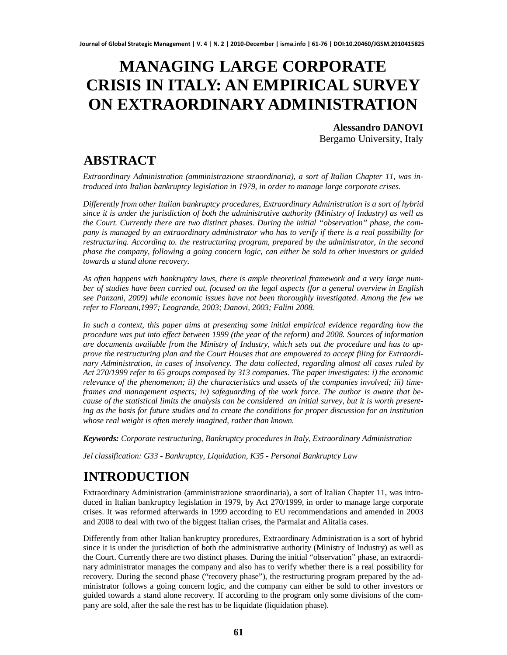# **MANAGING LARGE CORPORATE CRISIS IN ITALY: AN EMPIRICAL SURVEY ON EXTRAORDINARY ADMINISTRATION**

**Alessandro DANOVI** Bergamo University, Italy

### **ABSTRACT**

*Extraordinary Administration (amministrazione straordinaria), a sort of Italian Chapter 11, was introduced into Italian bankruptcy legislation in 1979, in order to manage large corporate crises.*

*Differently from other Italian bankruptcy procedures, Extraordinary Administration is a sort of hybrid since it is under the jurisdiction of both the administrative authority (Ministry of Industry) as well as the Court. Currently there are two distinct phases. During the initial "observation" phase, the company is managed by an extraordinary administrator who has to verify if there is a real possibility for restructuring. According to. the restructuring program, prepared by the administrator, in the second phase the company, following a going concern logic, can either be sold to other investors or guided towards a stand alone recovery.*

*As often happens with bankruptcy laws, there is ample theoretical framework and a very large number of studies have been carried out, focused on the legal aspects (for a general overview in English see Panzani, 2009) while economic issues have not been thoroughly investigated. Among the few we refer to Floreani,1997; Leogrande, 2003; Danovi, 2003; Falini 2008.*

*In such a context, this paper aims at presenting some initial empirical evidence regarding how the procedure was put into effect between 1999 (the year of the reform) and 2008. Sources of information are documents available from the Ministry of Industry, which sets out the procedure and has to approve the restructuring plan and the Court Houses that are empowered to accept filing for Extraordinary Administration, in cases of insolvency. The data collected, regarding almost all cases ruled by Act 270/1999 refer to 65 groups composed by 313 companies. The paper investigates: i) the economic relevance of the phenomenon; ii) the characteristics and assets of the companies involved; iii) timeframes and management aspects; iv) safeguarding of the work force. The author is aware that because of the statistical limits the analysis can be considered an initial survey, but it is worth presenting as the basis for future studies and to create the conditions for proper discussion for an institution whose real weight is often merely imagined, rather than known.*

*Keywords: Corporate restructuring, Bankruptcy procedures in Italy, Extraordinary Administration*

*Jel classification: G33 - Bankruptcy, Liquidation, K35 - Personal Bankruptcy Law*

## **INTRODUCTION**

Extraordinary Administration (amministrazione straordinaria), a sort of Italian Chapter 11, was introduced in Italian bankruptcy legislation in 1979, by Act 270/1999, in order to manage large corporate crises. It was reformed afterwards in 1999 according to EU recommendations and amended in 2003 and 2008 to deal with two of the biggest Italian crises, the Parmalat and Alitalia cases.

Differently from other Italian bankruptcy procedures, Extraordinary Administration is a sort of hybrid since it is under the jurisdiction of both the administrative authority (Ministry of Industry) as well as the Court. Currently there are two distinct phases. During the initial "observation" phase, an extraordinary administrator manages the company and also has to verify whether there is a real possibility for recovery. During the second phase ("recovery phase"), the restructuring program prepared by the administrator follows a going concern logic, and the company can either be sold to other investors or guided towards a stand alone recovery. If according to the program only some divisions of the company are sold, after the sale the rest has to be liquidate (liquidation phase).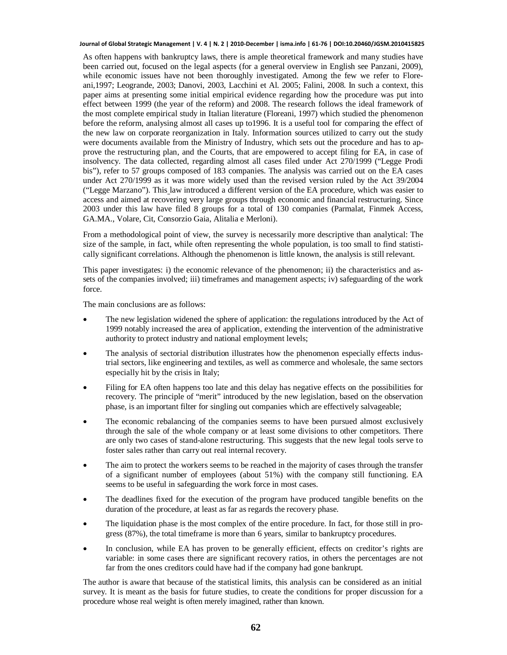As often happens with bankruptcy laws, there is ample theoretical framework and many studies have been carried out, focused on the legal aspects (for a general overview in English see Panzani, 2009), while economic issues have not been thoroughly investigated. Among the few we refer to Floreani,1997; Leogrande, 2003; Danovi, 2003, Lacchini et Al. 2005; Falini, 2008. In such a context, this paper aims at presenting some initial empirical evidence regarding how the procedure was put into effect between 1999 (the year of the reform) and 2008. The research follows the ideal framework of the most complete empirical study in Italian literature (Floreani, 1997) which studied the phenomenon before the reform, analysing almost all cases up to1996. It is a useful tool for comparing the effect of the new law on corporate reorganization in Italy. Information sources utilized to carry out the study were documents available from the Ministry of Industry, which sets out the procedure and has to approve the restructuring plan, and the Courts, that are empowered to accept filing for EA, in case of insolvency. The data collected, regarding almost all cases filed under Act 270/1999 ("Legge Prodi bis"), refer to 57 groups composed of 183 companies. The analysis was carried out on the EA cases under Act 270/1999 as it was more widely used than the revised version ruled by the Act 39/2004 ("Legge Marzano"). This law introduced a different version of the EA procedure, which was easier to access and aimed at recovering very large groups through economic and financial restructuring. Since 2003 under this law have filed 8 groups for a total of 130 companies (Parmalat, Finmek Access, GA.MA., Volare, Cit, Consorzio Gaia, Alitalia e Merloni).

From a methodological point of view, the survey is necessarily more descriptive than analytical: The size of the sample, in fact, while often representing the whole population, is too small to find statistically significant correlations. Although the phenomenon is little known, the analysis is still relevant.

This paper investigates: i) the economic relevance of the phenomenon; ii) the characteristics and assets of the companies involved; iii) timeframes and management aspects; iv) safeguarding of the work force.

The main conclusions are as follows:

- The new legislation widened the sphere of application: the regulations introduced by the Act of 1999 notably increased the area of application, extending the intervention of the administrative authority to protect industry and national employment levels;
- The analysis of sectorial distribution illustrates how the phenomenon especially effects industrial sectors, like engineering and textiles, as well as commerce and wholesale, the same sectors especially hit by the crisis in Italy;
- Filing for EA often happens too late and this delay has negative effects on the possibilities for recovery. The principle of "merit" introduced by the new legislation, based on the observation phase, is an important filter for singling out companies which are effectively salvageable;
- The economic rebalancing of the companies seems to have been pursued almost exclusively through the sale of the whole company or at least some divisions to other competitors. There are only two cases of stand-alone restructuring. This suggests that the new legal tools serve to foster sales rather than carry out real internal recovery.
- The aim to protect the workers seems to be reached in the majority of cases through the transfer of a significant number of employees (about 51%) with the company still functioning. EA seems to be useful in safeguarding the work force in most cases.
- The deadlines fixed for the execution of the program have produced tangible benefits on the duration of the procedure, at least as far as regards the recovery phase.
- The liquidation phase is the most complex of the entire procedure. In fact, for those still in progress (87%), the total timeframe is more than 6 years, similar to bankruptcy procedures.
- In conclusion, while EA has proven to be generally efficient, effects on creditor's rights are variable: in some cases there are significant recovery ratios, in others the percentages are not far from the ones creditors could have had if the company had gone bankrupt.

The author is aware that because of the statistical limits, this analysis can be considered as an initial survey. It is meant as the basis for future studies, to create the conditions for proper discussion for a procedure whose real weight is often merely imagined, rather than known.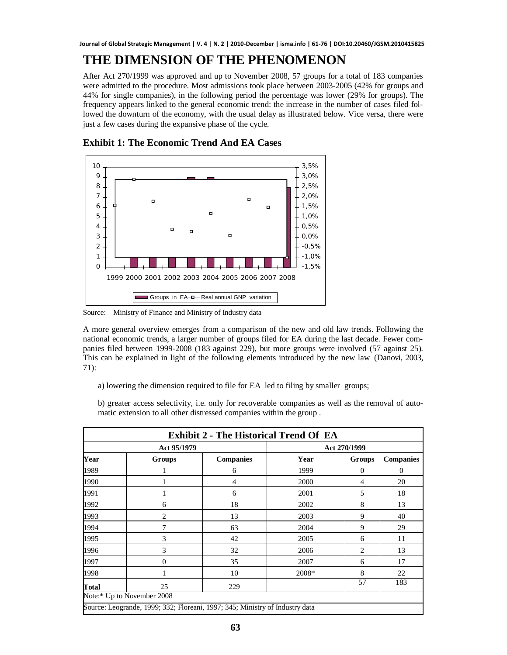#### **THE DIMENSION OF THE PHENOMENON**

After Act 270/1999 was approved and up to November 2008, 57 groups for a total of 183 companies were admitted to the procedure. Most admissions took place between 2003-2005 (42% for groups and 44% for single companies), in the following period the percentage was lower (29% for groups). The frequency appears linked to the general economic trend: the increase in the number of cases filed followed the downturn of the economy, with the usual delay as illustrated below. Vice versa, there were just a few cases during the expansive phase of the cycle.



**Exhibit 1: The Economic Trend And EA Cases**

Source: Ministry of Finance and Ministry of Industry data

A more general overview emerges from a comparison of the new and old law trends. Following the national economic trends, a larger number of groups filed for EA during the last decade. Fewer companies filed between 1999-2008 (183 against 229), but more groups were involved (57 against 25). This can be explained in light of the following elements introduced by the new law (Danovi, 2003, 71):

a) lowering the dimension required to file for EA led to filing by smaller groups;

b) greater access selectivity, i.e. only for recoverable companies as well as the removal of automatic extension to all other distressed companies within the group .

|              | Act 95/1979                | <b>Exhibit 2 - The Historical Trend Of EA</b> | Act 270/1999 |               |                  |  |
|--------------|----------------------------|-----------------------------------------------|--------------|---------------|------------------|--|
| Year         | <b>Groups</b>              | <b>Companies</b>                              | Year         | <b>Groups</b> | <b>Companies</b> |  |
| 1989         |                            | 6                                             | 1999         | 0             | $\overline{0}$   |  |
| 1990         |                            | 4                                             | 2000         | 4             | 20               |  |
| 1991         |                            | 6                                             | 2001         | 5             | 18               |  |
| 1992         | 6                          | 18                                            | 2002         | 8             | 13               |  |
| 1993         | 2                          | 13                                            | 2003         | 9             | 40               |  |
| 1994         | 7                          | 63                                            | 2004         | 9             | 29               |  |
| 1995         | 3                          | 42                                            | 2005         | 6             | 11               |  |
| 1996         | 3                          | 32                                            | 2006         | 2             | 13               |  |
| 1997         | 0                          | 35                                            | 2007         | 6             | 17               |  |
| 1998         |                            | 10                                            | 2008*        | 8             | 22               |  |
| <b>Total</b> | 25                         | 229                                           |              | 57            | 183              |  |
|              | Note:* Up to November 2008 |                                               |              |               |                  |  |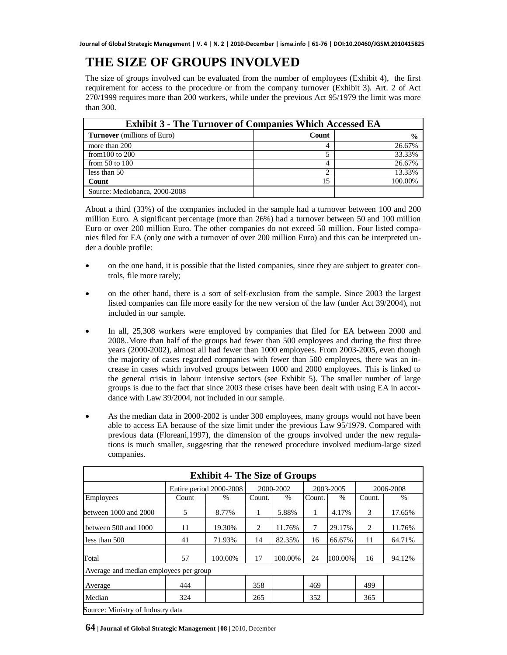## **THE SIZE OF GROUPS INVOLVED**

The size of groups involved can be evaluated from the number of employees (Exhibit 4), the first requirement for access to the procedure or from the company turnover (Exhibit 3). Art. 2 of Act 270/1999 requires more than 200 workers, while under the previous Act 95/1979 the limit was more than 300.

| <b>Exhibit 3 - The Turnover of Companies Which Accessed EA</b> |       |               |  |  |
|----------------------------------------------------------------|-------|---------------|--|--|
| <b>Turnover</b> (millions of Euro)                             | Count | $\frac{0}{0}$ |  |  |
| more than 200                                                  | 4     | 26.67%        |  |  |
| from $100$ to $200$                                            |       | 33.33%        |  |  |
| from $50$ to $100$                                             |       | 26.67%        |  |  |
| less than 50                                                   | ⌒     | 13.33%        |  |  |
| Count                                                          | 15    | 100.00%       |  |  |
| Source: Mediobanca, 2000-2008                                  |       |               |  |  |

About a third (33%) of the companies included in the sample had a turnover between 100 and 200 million Euro. A significant percentage (more than 26%) had a turnover between 50 and 100 million Euro or over 200 million Euro. The other companies do not exceed 50 million. Four listed companies filed for EA (only one with a turnover of over 200 million Euro) and this can be interpreted under a double profile:

- on the one hand, it is possible that the listed companies, since they are subject to greater controls, file more rarely;
- on the other hand, there is a sort of self-exclusion from the sample. Since 2003 the largest listed companies can file more easily for the new version of the law (under Act 39/2004), not included in our sample.
- In all, 25,308 workers were employed by companies that filed for EA between 2000 and 2008..More than half of the groups had fewer than 500 employees and during the first three years (2000-2002), almost all had fewer than 1000 employees. From 2003-2005, even though the majority of cases regarded companies with fewer than 500 employees, there was an increase in cases which involved groups between 1000 and 2000 employees. This is linked to the general crisis in labour intensive sectors (see Exhibit 5). The smaller number of large groups is due to the fact that since 2003 these crises have been dealt with using EA in accordance with Law 39/2004, not included in our sample.
- As the median data in 2000-2002 is under 300 employees, many groups would not have been able to access EA because of the size limit under the previous Law 95/1979. Compared with previous data (Floreani,1997), the dimension of the groups involved under the new regulations is much smaller, suggesting that the renewed procedure involved medium-large sized companies.

|                                        |                         | <b>Exhibit 4- The Size of Groups</b> |           |         |           |         |           |        |
|----------------------------------------|-------------------------|--------------------------------------|-----------|---------|-----------|---------|-----------|--------|
|                                        | Entire period 2000-2008 |                                      | 2000-2002 |         | 2003-2005 |         | 2006-2008 |        |
| Employees                              | Count                   | $\%$                                 | Count.    | $\%$    | Count.    | $\%$    | Count.    | $\%$   |
| between 1000 and 2000                  | 5                       | 8.77%                                | 1         | 5.88%   | 1         | 4.17%   | 3         | 17.65% |
| between 500 and 1000                   | 11                      | 19.30%                               | 2         | 11.76%  | 7         | 29.17%  | 2         | 11.76% |
| less than 500                          | 41                      | 71.93%                               | 14        | 82.35%  | 16        | 66.67%  | 11        | 64.71% |
| Total                                  | 57                      | 100.00%                              | 17        | 100.00% | 24        | 100.00% | 16        | 94.12% |
| Average and median employees per group |                         |                                      |           |         |           |         |           |        |
| Average                                | 444                     |                                      | 358       |         | 469       |         | 499       |        |
| Median                                 | 324                     |                                      | 265       |         | 352       |         | 365       |        |
| Source: Ministry of Industry data      |                         |                                      |           |         |           |         |           |        |

**64 | Journal of Global Strategic Management | 08 |** 2010, December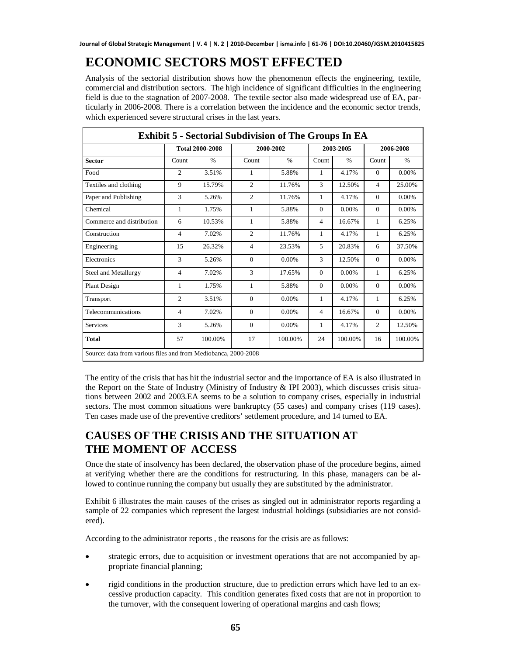### **ECONOMIC SECTORS MOST EFFECTED**

Analysis of the sectorial distribution shows how the phenomenon effects the engineering, textile, commercial and distribution sectors. The high incidence of significant difficulties in the engineering field is due to the stagnation of 2007-2008. The textile sector also made widespread use of EA, particularly in 2006-2008. There is a correlation between the incidence and the economic sector trends, which experienced severe structural crises in the last years.

| <b>Exhibit 5 - Sectorial Subdivision of The Groups In EA</b>   |                        |         |                |               |              |               |                |               |
|----------------------------------------------------------------|------------------------|---------|----------------|---------------|--------------|---------------|----------------|---------------|
|                                                                | <b>Total 2000-2008</b> |         | 2000-2002      |               | 2003-2005    |               | 2006-2008      |               |
| <b>Sector</b>                                                  | Count                  | $\%$    | Count          | $\frac{0}{0}$ | Count        | $\frac{0}{0}$ | Count          | $\frac{0}{0}$ |
| Food                                                           | $\overline{c}$         | 3.51%   | 1              | 5.88%         | 1            | 4.17%         | $\Omega$       | $0.00\%$      |
| Textiles and clothing                                          | 9                      | 15.79%  | $\overline{2}$ | 11.76%        | 3            | 12.50%        | $\overline{4}$ | 25.00%        |
| Paper and Publishing                                           | 3                      | 5.26%   | $\overline{c}$ | 11.76%        | $\mathbf{1}$ | 4.17%         | $\Omega$       | 0.00%         |
| Chemical                                                       | $\mathbf{1}$           | 1.75%   | $\mathbf{1}$   | 5.88%         | $\Omega$     | 0.00%         | $\Omega$       | 0.00%         |
| Commerce and distribution                                      | 6                      | 10.53%  | $\mathbf{1}$   | 5.88%         | 4            | 16.67%        | $\mathbf{1}$   | 6.25%         |
| Construction                                                   | 4                      | 7.02%   | $\overline{c}$ | 11.76%        | $\mathbf{1}$ | 4.17%         | $\mathbf{1}$   | 6.25%         |
| Engineering                                                    | 15                     | 26.32%  | $\overline{4}$ | 23.53%        | 5            | 20.83%        | 6              | 37.50%        |
| Electronics                                                    | 3                      | 5.26%   | $\Omega$       | $0.00\%$      | 3            | 12.50%        | $\Omega$       | 0.00%         |
| Steel and Metallurgy                                           | $\overline{4}$         | 7.02%   | 3              | 17.65%        | $\Omega$     | 0.00%         | 1              | 6.25%         |
| Plant Design                                                   | 1                      | 1.75%   | 1              | 5.88%         | $\Omega$     | $0.00\%$      | $\Omega$       | $0.00\%$      |
| Transport                                                      | $\overline{2}$         | 3.51%   | $\Omega$       | $0.00\%$      | $\mathbf{1}$ | 4.17%         | 1              | 6.25%         |
| Telecommunications                                             | 4                      | 7.02%   | $\Omega$       | 0.00%         | 4            | 16.67%        | $\Omega$       | $0.00\%$      |
| Services                                                       | 3                      | 5.26%   | $\Omega$       | $0.00\%$      | 1            | 4.17%         | 2              | 12.50%        |
| <b>Total</b>                                                   | 57                     | 100.00% | 17             | 100.00%       | 24           | 100.00%       | 16             | 100.00%       |
| Source: data from various files and from Mediobanca, 2000-2008 |                        |         |                |               |              |               |                |               |

The entity of the crisis that has hit the industrial sector and the importance of EA is also illustrated in the Report on the State of Industry (Ministry of Industry & IPI 2003), which discusses crisis situations between 2002 and 2003.EA seems to be a solution to company crises, especially in industrial sectors. The most common situations were bankruptcy (55 cases) and company crises (119 cases). Ten cases made use of the preventive creditors' settlement procedure, and 14 turned to EA.

#### **CAUSES OF THE CRISIS AND THE SITUATION AT THE MOMENT OF ACCESS**

Once the state of insolvency has been declared, the observation phase of the procedure begins, aimed at verifying whether there are the conditions for restructuring. In this phase, managers can be allowed to continue running the company but usually they are substituted by the administrator.

Exhibit 6 illustrates the main causes of the crises as singled out in administrator reports regarding a sample of 22 companies which represent the largest industrial holdings (subsidiaries are not considered).

According to the administrator reports , the reasons for the crisis are as follows:

- strategic errors, due to acquisition or investment operations that are not accompanied by appropriate financial planning;
- rigid conditions in the production structure, due to prediction errors which have led to an excessive production capacity. This condition generates fixed costs that are not in proportion to the turnover, with the consequent lowering of operational margins and cash flows;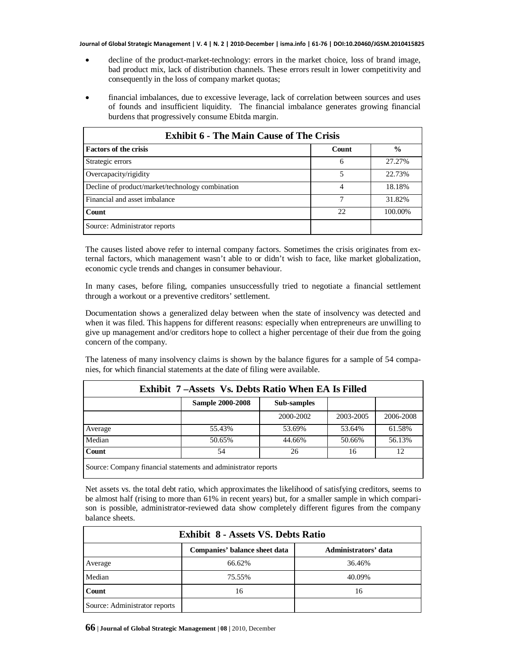- decline of the product-market-technology: errors in the market choice, loss of brand image, bad product mix, lack of distribution channels. These errors result in lower competitivity and consequently in the loss of company market quotas;
- financial imbalances, due to excessive leverage, lack of correlation between sources and uses of founds and insufficient liquidity. The financial imbalance generates growing financial burdens that progressively consume Ebitda margin.

| <b>Exhibit 6 - The Main Cause of The Crisis</b>  |       |               |  |  |  |
|--------------------------------------------------|-------|---------------|--|--|--|
| <b>Factors of the crisis</b>                     | Count | $\frac{0}{0}$ |  |  |  |
| Strategic errors                                 | 6     | 27.27%        |  |  |  |
| Overcapacity/rigidity                            | 5     | 22.73%        |  |  |  |
| Decline of product/market/technology combination |       | 18.18%        |  |  |  |
| Financial and asset imbalance                    |       | 31.82%        |  |  |  |
| <b>Count</b>                                     | 22    | 100.00%       |  |  |  |
| Source: Administrator reports                    |       |               |  |  |  |

The causes listed above refer to internal company factors. Sometimes the crisis originates from external factors, which management wasn't able to or didn't wish to face, like market globalization, economic cycle trends and changes in consumer behaviour.

In many cases, before filing, companies unsuccessfully tried to negotiate a financial settlement through a workout or a preventive creditors' settlement.

Documentation shows a generalized delay between when the state of insolvency was detected and when it was filed. This happens for different reasons: especially when entrepreneurs are unwilling to give up management and/or creditors hope to collect a higher percentage of their due from the going concern of the company.

The lateness of many insolvency claims is shown by the balance figures for a sample of 54 companies, for which financial statements at the date of filing were available.

| Exhibit 7-Assets Vs. Debts Ratio When EA Is Filled             |                         |             |           |           |  |  |
|----------------------------------------------------------------|-------------------------|-------------|-----------|-----------|--|--|
|                                                                | <b>Sample 2000-2008</b> | Sub-samples |           |           |  |  |
|                                                                |                         | 2000-2002   | 2003-2005 | 2006-2008 |  |  |
| Average                                                        | 55.43%                  | 53.69%      | 53.64%    | 61.58%    |  |  |
| Median                                                         | 50.65%                  | 44.66%      | 50.66%    | 56.13%    |  |  |
| <b>Count</b>                                                   | 54                      | 26          | 16        | 12        |  |  |
| Source: Company financial statements and administrator reports |                         |             |           |           |  |  |

Net assets vs. the total debt ratio, which approximates the likelihood of satisfying creditors, seems to be almost half (rising to more than 61% in recent years) but, for a smaller sample in which compari-

| <b>Exhibit 8 - Assets VS. Debts Ratio</b> |                               |                      |  |  |  |
|-------------------------------------------|-------------------------------|----------------------|--|--|--|
|                                           | Companies' balance sheet data | Administrators' data |  |  |  |
| Average                                   | 66.62%                        | 36.46%               |  |  |  |
| Median                                    | 75.55%                        | 40.09%               |  |  |  |
| Count                                     | 16                            | 16                   |  |  |  |
| Source: Administrator reports             |                               |                      |  |  |  |

son is possible, administrator-reviewed data show completely different figures from the company

balance sheets.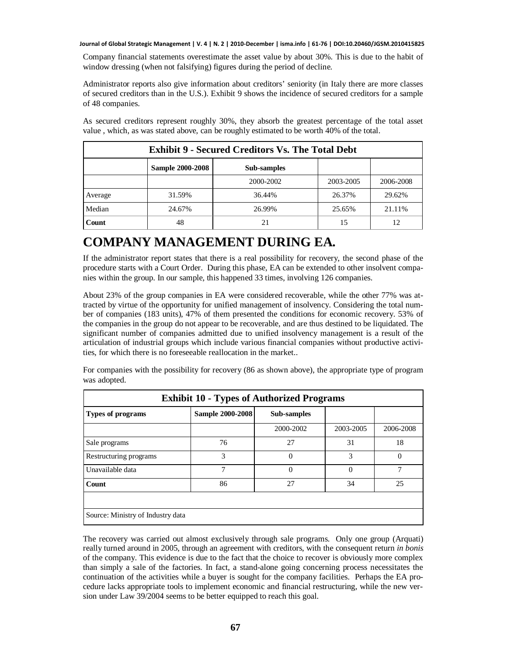Company financial statements overestimate the asset value by about 30%. This is due to the habit of window dressing (when not falsifying) figures during the period of decline.

Administrator reports also give information about creditors' seniority (in Italy there are more classes of secured creditors than in the U.S.). Exhibit 9 shows the incidence of secured creditors for a sample of 48 companies.

As secured creditors represent roughly 30%, they absorb the greatest percentage of the total asset value , which, as was stated above, can be roughly estimated to be worth 40% of the total.

| <b>Exhibit 9 - Secured Creditors Vs. The Total Debt</b> |                         |             |           |           |  |
|---------------------------------------------------------|-------------------------|-------------|-----------|-----------|--|
|                                                         | <b>Sample 2000-2008</b> | Sub-samples |           |           |  |
|                                                         |                         | 2000-2002   | 2003-2005 | 2006-2008 |  |
| Average                                                 | 31.59%                  | 36.44%      | 26.37%    | 29.62%    |  |
| Median                                                  | 24.67%                  | 26.99%      | 25.65%    | 21.11%    |  |
| Count                                                   | 48                      | 21          | 15        | 12        |  |

#### **COMPANY MANAGEMENT DURING EA***.*

If the administrator report states that there is a real possibility for recovery, the second phase of the procedure starts with a Court Order. During this phase, EA can be extended to other insolvent companies within the group. In our sample, this happened 33 times, involving 126 companies.

About 23% of the group companies in EA were considered recoverable, while the other 77% was attracted by virtue of the opportunity for unified management of insolvency. Considering the total number of companies (183 units), 47% of them presented the conditions for economic recovery. 53% of the companies in the group do not appear to be recoverable, and are thus destined to be liquidated. The significant number of companies admitted due to unified insolvency management is a result of the articulation of industrial groups which include various financial companies without productive activities, for which there is no foreseeable reallocation in the market..

For companies with the possibility for recovery (86 as shown above), the appropriate type of program was adopted.

| <b>Exhibit 10 - Types of Authorized Programs</b> |                         |             |               |               |  |  |
|--------------------------------------------------|-------------------------|-------------|---------------|---------------|--|--|
| <b>Types of programs</b>                         | <b>Sample 2000-2008</b> | Sub-samples |               |               |  |  |
|                                                  |                         | 2000-2002   | 2003-2005     | 2006-2008     |  |  |
| Sale programs                                    | 76                      | 27          | 31            | 18            |  |  |
| Restructuring programs                           | 3                       | $\Omega$    | $\mathcal{R}$ | $\Omega$      |  |  |
| Unavailable data                                 | $\overline{7}$          | $\Omega$    | $\Omega$      | $\mathcal{I}$ |  |  |
| Count                                            | 86                      | 27          | 34            | 25            |  |  |
|                                                  |                         |             |               |               |  |  |
| Source: Ministry of Industry data                |                         |             |               |               |  |  |

The recovery was carried out almost exclusively through sale programs. Only one group (Arquati) really turned around in 2005, through an agreement with creditors, with the consequent return *in bonis* of the company. This evidence is due to the fact that the choice to recover is obviously more complex than simply a sale of the factories. In fact, a stand-alone going concerning process necessitates the continuation of the activities while a buyer is sought for the company facilities. Perhaps the EA procedure lacks appropriate tools to implement economic and financial restructuring, while the new version under Law 39/2004 seems to be better equipped to reach this goal.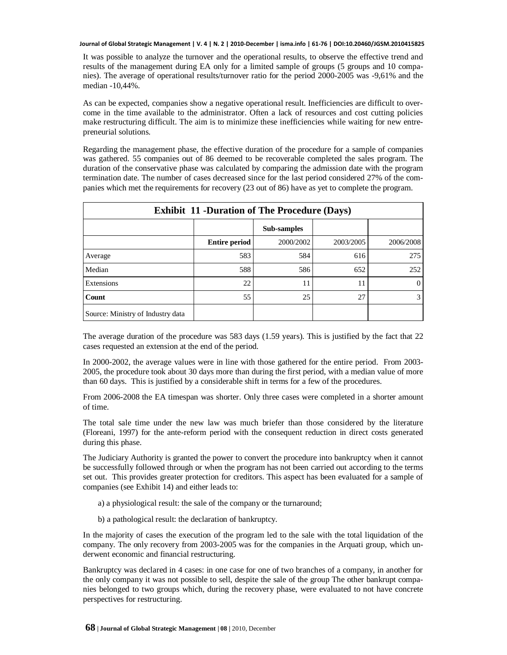It was possible to analyze the turnover and the operational results, to observe the effective trend and results of the management during EA only for a limited sample of groups (5 groups and 10 companies). The average of operational results/turnover ratio for the period 2000-2005 was -9,61% and the median -10,44%.

As can be expected, companies show a negative operational result. Inefficiencies are difficult to overcome in the time available to the administrator. Often a lack of resources and cost cutting policies make restructuring difficult. The aim is to minimize these inefficiencies while waiting for new entrepreneurial solutions.

Regarding the management phase, the effective duration of the procedure for a sample of companies was gathered. 55 companies out of 86 deemed to be recoverable completed the sales program. The duration of the conservative phase was calculated by comparing the admission date with the program termination date. The number of cases decreased since for the last period considered 27% of the companies which met the requirements for recovery (23 out of 86) have as yet to complete the program.

| <b>Exhibit 11 -Duration of The Procedure (Days)</b> |                      |             |           |           |  |
|-----------------------------------------------------|----------------------|-------------|-----------|-----------|--|
|                                                     |                      | Sub-samples |           |           |  |
|                                                     | <b>Entire period</b> | 2000/2002   | 2003/2005 | 2006/2008 |  |
| Average                                             | 583                  | 584         | 616       | 275       |  |
| Median                                              | 588                  | 586         | 652       | 252       |  |
| Extensions                                          | 22                   | 11          | 11        | $\Omega$  |  |
| Count                                               | 55                   | 25          | 27        | 3         |  |
| Source: Ministry of Industry data                   |                      |             |           |           |  |

The average duration of the procedure was 583 days (1.59 years). This is justified by the fact that 22 cases requested an extension at the end of the period.

In 2000-2002, the average values were in line with those gathered for the entire period. From 2003- 2005, the procedure took about 30 days more than during the first period, with a median value of more than 60 days. This is justified by a considerable shift in terms for a few of the procedures.

From 2006-2008 the EA timespan was shorter. Only three cases were completed in a shorter amount of time.

The total sale time under the new law was much briefer than those considered by the literature (Floreani, 1997) for the ante-reform period with the consequent reduction in direct costs generated during this phase.

The Judiciary Authority is granted the power to convert the procedure into bankruptcy when it cannot be successfully followed through or when the program has not been carried out according to the terms set out. This provides greater protection for creditors. This aspect has been evaluated for a sample of companies (see Exhibit 14) and either leads to:

- a) a physiological result: the sale of the company or the turnaround;
- b) a pathological result: the declaration of bankruptcy.

In the majority of cases the execution of the program led to the sale with the total liquidation of the company. The only recovery from 2003-2005 was for the companies in the Arquati group, which underwent economic and financial restructuring.

Bankruptcy was declared in 4 cases: in one case for one of two branches of a company, in another for the only company it was not possible to sell, despite the sale of the group The other bankrupt companies belonged to two groups which, during the recovery phase, were evaluated to not have concrete perspectives for restructuring.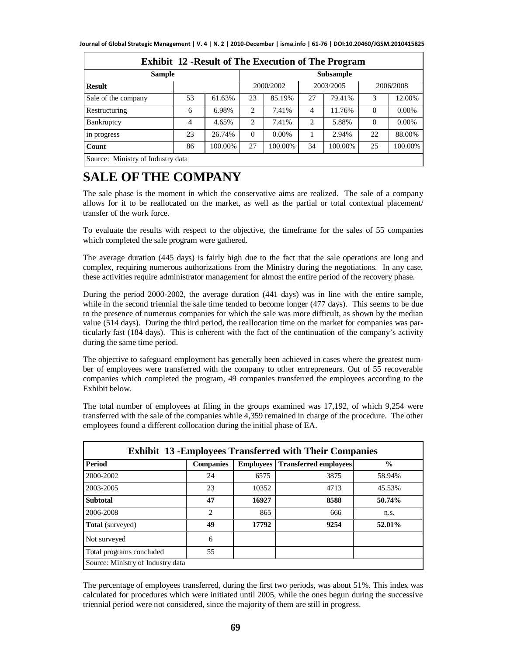| <b>Exhibit 12 - Result of The Execution of The Program</b> |    |         |                |           |    |                  |          |           |
|------------------------------------------------------------|----|---------|----------------|-----------|----|------------------|----------|-----------|
| <b>Sample</b>                                              |    |         |                |           |    | <b>Subsample</b> |          |           |
| <b>Result</b>                                              |    |         |                | 2000/2002 |    | 2003/2005        |          | 2006/2008 |
| Sale of the company                                        | 53 | 61.63%  | 23             | 85.19%    | 27 | 79.41%           | 3        | 12.00%    |
| Restructuring                                              | 6  | 6.98%   | $\overline{c}$ | 7.41%     | 4  | 11.76%           | $\Omega$ | $0.00\%$  |
| Bankruptcy                                                 | 4  | 4.65%   | 2              | 7.41%     | 2  | 5.88%            | $\Omega$ | $0.00\%$  |
| in progress                                                | 23 | 26.74%  | $\Omega$       | $0.00\%$  |    | 2.94%            | 22       | 88.00%    |
| Count                                                      | 86 | 100.00% | 27             | 100.00%   | 34 | 100.00%          | 25       | 100.00%   |
| Source: Ministry of Industry data                          |    |         |                |           |    |                  |          |           |

### **SALE OF THE COMPANY**

The sale phase is the moment in which the conservative aims are realized. The sale of a company allows for it to be reallocated on the market, as well as the partial or total contextual placement/ transfer of the work force.

To evaluate the results with respect to the objective, the timeframe for the sales of 55 companies which completed the sale program were gathered.

The average duration (445 days) is fairly high due to the fact that the sale operations are long and complex, requiring numerous authorizations from the Ministry during the negotiations. In any case, these activities require administrator management for almost the entire period of the recovery phase.

During the period 2000-2002, the average duration (441 days) was in line with the entire sample, while in the second triennial the sale time tended to become longer (477 days). This seems to be due to the presence of numerous companies for which the sale was more difficult, as shown by the median value (514 days). During the third period, the reallocation time on the market for companies was particularly fast (184 days). This is coherent with the fact of the continuation of the company's activity during the same time period.

The objective to safeguard employment has generally been achieved in cases where the greatest number of employees were transferred with the company to other entrepreneurs. Out of 55 recoverable companies which completed the program, 49 companies transferred the employees according to the Exhibit below.

The total number of employees at filing in the groups examined was 17,192, of which 9,254 were transferred with the sale of the companies while 4,359 remained in charge of the procedure. The other employees found a different collocation during the initial phase of EA.

| Period                   | <b>Companies</b> | <b>Employees</b> | <b>Transferred employees</b> | $\frac{0}{0}$ |
|--------------------------|------------------|------------------|------------------------------|---------------|
| 2000-2002                | 24               | 6575             | 3875                         | 58.94%        |
| 2003-2005                | 23               | 10352            | 4713                         | 45.53%        |
| <b>Subtotal</b>          | 47               | 16927            | 8588                         | 50.74%        |
| 2006-2008                | $\overline{c}$   | 865              | 666                          | n.s.          |
| <b>Total</b> (surveyed)  | 49               | 17792            | 9254                         | 52.01%        |
| Not surveyed             | 6                |                  |                              |               |
| Total programs concluded | 55               |                  |                              |               |

The percentage of employees transferred, during the first two periods, was about 51%. This index was calculated for procedures which were initiated until 2005, while the ones begun during the successive triennial period were not considered, since the majority of them are still in progress.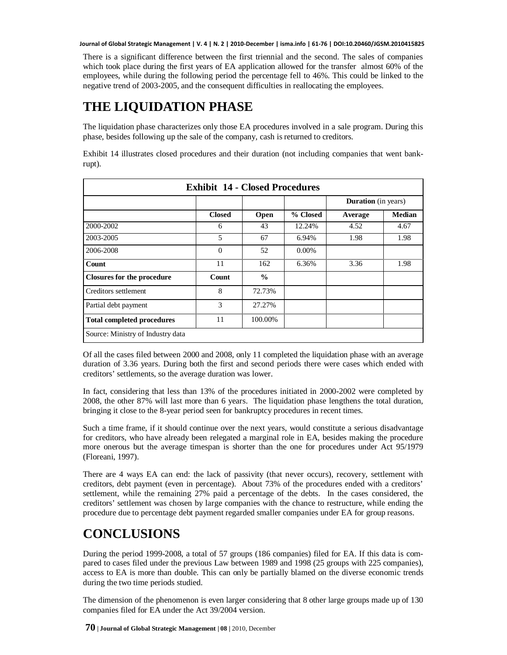There is a significant difference between the first triennial and the second. The sales of companies which took place during the first years of EA application allowed for the transfer almost 60% of the employees, while during the following period the percentage fell to 46%. This could be linked to the negative trend of 2003-2005, and the consequent difficulties in reallocating the employees.

### **THE LIQUIDATION PHASE**

The liquidation phase characterizes only those EA procedures involved in a sale program. During this phase, besides following up the sale of the company, cash is returned to creditors.

| <b>Exhibit 14 - Closed Procedures</b> |               |               |          |                            |               |  |  |
|---------------------------------------|---------------|---------------|----------|----------------------------|---------------|--|--|
|                                       |               |               |          | <b>Duration</b> (in years) |               |  |  |
|                                       | <b>Closed</b> | Open          | % Closed | Average                    | <b>Median</b> |  |  |
| 2000-2002                             | 6             | 43            | 12.24%   | 4.52                       | 4.67          |  |  |
| 2003-2005                             | 5             | 67            | 6.94%    | 1.98                       | 1.98          |  |  |
| 2006-2008                             | $\Omega$      | 52            | $0.00\%$ |                            |               |  |  |
| Count                                 | 11            | 162           | 6.36%    | 3.36                       | 1.98          |  |  |
| <b>Closures for the procedure</b>     | Count         | $\frac{0}{0}$ |          |                            |               |  |  |
| Creditors settlement                  | 8             | 72.73%        |          |                            |               |  |  |
| Partial debt payment                  | 3             | 27.27%        |          |                            |               |  |  |
| <b>Total completed procedures</b>     | 11            | 100.00%       |          |                            |               |  |  |
| Source: Ministry of Industry data     |               |               |          |                            |               |  |  |

Exhibit 14 illustrates closed procedures and their duration (not including companies that went bankrupt).

Of all the cases filed between 2000 and 2008, only 11 completed the liquidation phase with an average duration of 3.36 years. During both the first and second periods there were cases which ended with creditors' settlements, so the average duration was lower.

In fact, considering that less than 13% of the procedures initiated in 2000-2002 were completed by 2008, the other 87% will last more than 6 years. The liquidation phase lengthens the total duration, bringing it close to the 8-year period seen for bankruptcy procedures in recent times.

Such a time frame, if it should continue over the next years, would constitute a serious disadvantage for creditors, who have already been relegated a marginal role in EA, besides making the procedure more onerous but the average timespan is shorter than the one for procedures under Act 95/1979 (Floreani, 1997).

There are 4 ways EA can end: the lack of passivity (that never occurs), recovery, settlement with creditors, debt payment (even in percentage). About 73% of the procedures ended with a creditors' settlement, while the remaining 27% paid a percentage of the debts. In the cases considered, the creditors' settlement was chosen by large companies with the chance to restructure, while ending the procedure due to percentage debt payment regarded smaller companies under EA for group reasons.

### **CONCLUSIONS**

During the period 1999-2008, a total of 57 groups (186 companies) filed for EA. If this data is compared to cases filed under the previous Law between 1989 and 1998 (25 groups with 225 companies), access to EA is more than double. This can only be partially blamed on the diverse economic trends during the two time periods studied.

The dimension of the phenomenon is even larger considering that 8 other large groups made up of 130 companies filed for EA under the Act 39/2004 version.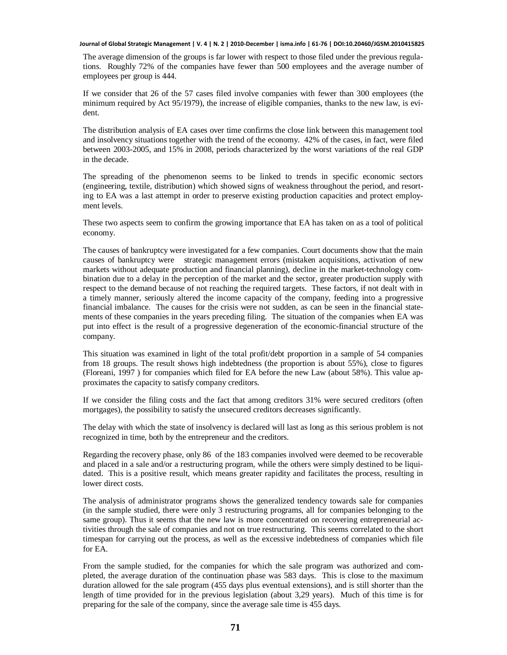The average dimension of the groups is far lower with respect to those filed under the previous regulations. Roughly 72% of the companies have fewer than 500 employees and the average number of employees per group is 444.

If we consider that 26 of the 57 cases filed involve companies with fewer than 300 employees (the minimum required by Act 95/1979), the increase of eligible companies, thanks to the new law, is evident.

The distribution analysis of EA cases over time confirms the close link between this management tool and insolvency situations together with the trend of the economy. 42% of the cases, in fact, were filed between 2003-2005, and 15% in 2008, periods characterized by the worst variations of the real GDP in the decade.

The spreading of the phenomenon seems to be linked to trends in specific economic sectors (engineering, textile, distribution) which showed signs of weakness throughout the period, and resorting to EA was a last attempt in order to preserve existing production capacities and protect employment levels.

These two aspects seem to confirm the growing importance that EA has taken on as a tool of political economy.

The causes of bankruptcy were investigated for a few companies. Court documents show that the main causes of bankruptcy were strategic management errors (mistaken acquisitions, activation of new markets without adequate production and financial planning), decline in the market-technology combination due to a delay in the perception of the market and the sector, greater production supply with respect to the demand because of not reaching the required targets. These factors, if not dealt with in a timely manner, seriously altered the income capacity of the company, feeding into a progressive financial imbalance. The causes for the crisis were not sudden, as can be seen in the financial statements of these companies in the years preceding filing. The situation of the companies when EA was put into effect is the result of a progressive degeneration of the economic-financial structure of the company.

This situation was examined in light of the total profit/debt proportion in a sample of 54 companies from 18 groups. The result shows high indebtedness (the proportion is about 55%), close to figures (Floreani, 1997 ) for companies which filed for EA before the new Law (about 58%). This value approximates the capacity to satisfy company creditors.

If we consider the filing costs and the fact that among creditors 31% were secured creditors (often mortgages), the possibility to satisfy the unsecured creditors decreases significantly.

The delay with which the state of insolvency is declared will last as long as this serious problem is not recognized in time, both by the entrepreneur and the creditors.

Regarding the recovery phase, only 86 of the 183 companies involved were deemed to be recoverable and placed in a sale and/or a restructuring program, while the others were simply destined to be liquidated. This is a positive result, which means greater rapidity and facilitates the process, resulting in lower direct costs.

The analysis of administrator programs shows the generalized tendency towards sale for companies (in the sample studied, there were only 3 restructuring programs, all for companies belonging to the same group). Thus it seems that the new law is more concentrated on recovering entrepreneurial activities through the sale of companies and not on true restructuring. This seems correlated to the short timespan for carrying out the process, as well as the excessive indebtedness of companies which file for EA.

From the sample studied, for the companies for which the sale program was authorized and completed, the average duration of the continuation phase was 583 days. This is close to the maximum duration allowed for the sale program (455 days plus eventual extensions), and is still shorter than the length of time provided for in the previous legislation (about 3,29 years). Much of this time is for preparing for the sale of the company, since the average sale time is 455 days.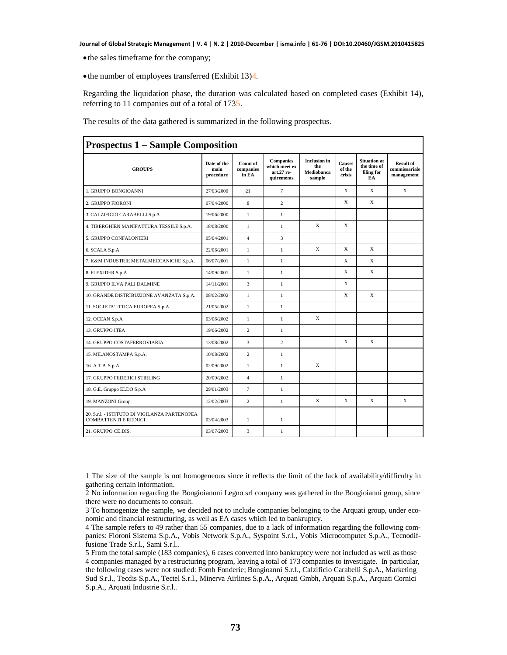- the sales timeframe for the company;
- $\bullet$  the number of employees transferred (Exhibit 13)4.

Regarding the liquidation phase, the duration was calculated based on completed cases (Exhibit 14), referring to 11 companies out of a total of 1735.

The results of the data gathered is summarized in the following prospectus.

| <b>Prospectus 1 – Sample Composition</b>                                     |                                  |                                |                                                               |                                                    |                                   |                                                        |                                                 |
|------------------------------------------------------------------------------|----------------------------------|--------------------------------|---------------------------------------------------------------|----------------------------------------------------|-----------------------------------|--------------------------------------------------------|-------------------------------------------------|
| <b>GROUPS</b>                                                                | Date of the<br>main<br>procedure | Count of<br>companies<br>in EA | <b>Companies</b><br>which meet ex<br>art.27 re-<br>quirements | <b>Inclusion</b> in<br>the<br>Mediobanca<br>sample | <b>Causes</b><br>of the<br>crisis | <b>Situation</b> at<br>the time of<br>filing for<br>EA | <b>Result of</b><br>commissariale<br>management |
| 1. GRUPPO BONGIOANNI                                                         | 27/03/2000                       | 21                             | $\tau$                                                        |                                                    | X                                 | X                                                      | X                                               |
| 2. GRUPPO FIORONI                                                            | 07/04/2000                       | 8                              | $\overline{2}$                                                |                                                    | X                                 | X                                                      |                                                 |
| 3. CALZIFICIO CARABELLI S.p.A                                                | 19/06/2000                       | $\mathbf{1}$                   | $\mathbf{1}$                                                  |                                                    |                                   |                                                        |                                                 |
| 4. TIBERGHIEN MANIFATTURA TESSILE S.p.A.                                     | 18/08/2000                       | $\mathbf{1}$                   | $\mathbf{1}$                                                  | X                                                  | X                                 |                                                        |                                                 |
| 5. GRUPPO CONFALONIERI                                                       | 05/04/2001                       | $\overline{4}$                 | 3                                                             |                                                    |                                   |                                                        |                                                 |
| 6. SCALA S.p.A                                                               | 22/06/2001                       | $\mathbf{1}$                   | $\mathbf{1}$                                                  | X                                                  | X                                 | X                                                      |                                                 |
| 7. K&M INDUSTRIE METALMECCANICHE S.p.A.                                      | 06/07/2001                       | $\mathbf{1}$                   | $\mathbf{1}$                                                  |                                                    | X                                 | $\mathbf x$                                            |                                                 |
| 8. FLEXIDER S.p.A.                                                           | 14/09/2001                       | $\mathbf{1}$                   | $\mathbf{1}$                                                  |                                                    | X                                 | X                                                      |                                                 |
| 9. GRUPPO ILVA PALI DALMINE                                                  | 14/11/2001                       | 3                              | $\mathbf{1}$                                                  |                                                    | X                                 |                                                        |                                                 |
| 10. GRANDE DISTRIBUZIONE AVANZATA S.p.A.                                     | 08/02/2002                       | $\mathbf{1}$                   | $\mathbf{1}$                                                  |                                                    | X                                 | X                                                      |                                                 |
| 11. SOCIETA' ITTICA EUROPEA S.p.A.                                           | 21/05/2002                       | $\mathbf{1}$                   | $\mathbf{1}$                                                  |                                                    |                                   |                                                        |                                                 |
| 12. OCEAN S.p.A                                                              | 03/06/2002                       | $\mathbf{1}$                   | $\mathbf{1}$                                                  | X                                                  |                                   |                                                        |                                                 |
| 13. GRUPPO ITEA                                                              | 19/06/2002                       | $\overline{c}$                 | $\mathbf{1}$                                                  |                                                    |                                   |                                                        |                                                 |
| 14. GRUPPO COSTAFERROVIARIA                                                  | 13/08/2002                       | 3                              | $\overline{c}$                                                |                                                    | X                                 | X                                                      |                                                 |
| 15. MILANOSTAMPA S.p.A.                                                      | 10/08/2002                       | $\overline{c}$                 | $\mathbf{1}$                                                  |                                                    |                                   |                                                        |                                                 |
| 16. A T B S.p.A.                                                             | 02/09/2002                       | $\mathbf{1}$                   | $\mathbf{1}$                                                  | X                                                  |                                   |                                                        |                                                 |
| 17. GRUPPO FEDERICI STIRLING                                                 | 20/09/2002                       | $\overline{4}$                 | $\mathbf{1}$                                                  |                                                    |                                   |                                                        |                                                 |
| 18. G.E. Gruppo ELDO S.p.A                                                   | 29/01/2003                       | $\overline{7}$                 | $\mathbf{1}$                                                  |                                                    |                                   |                                                        |                                                 |
| 19. MANZONI Group                                                            | 12/02/2003                       | 2                              | 1                                                             | X                                                  | X                                 | X                                                      | X                                               |
| 20. S.r.l. - ISTITUTO DI VIGILANZA PARTENOPEA<br><b>COMBATTENTI E REDUCI</b> | 03/04/2003                       | $\mathbf{1}$                   | $\mathbf{1}$                                                  |                                                    |                                   |                                                        |                                                 |
| 21. GRUPPO CE.DIS.                                                           | 03/07/2003                       | 3                              | $\mathbf{1}$                                                  |                                                    |                                   |                                                        |                                                 |

1 The size of the sample is not homogeneous since it reflects the limit of the lack of availability/difficulty in gathering certain information.

2 No information regarding the Bongioiannni Legno srl company was gathered in the Bongioianni group, since there were no documents to consult.

3 To homogenize the sample, we decided not to include companies belonging to the Arquati group, under economic and financial restructuring, as well as EA cases which led to bankruptcy.

4 The sample refers to 49 rather than 55 companies, due to a lack of information regarding the following companies: Fioroni Sistema S.p.A., Vobis Network S.p.A., Syspoint S.r.l., Vobis Microcomputer S.p.A., Tecnodiffusione Trade S.r.l., Sami S.r.l..

5 From the total sample (183 companies), 6 cases converted into bankruptcy were not included as well as those 4 companies managed by a restructuring program, leaving a total of 173 companies to investigate. In particular, the following cases were not studied: Fomb Fonderie; Bongioanni S.r.l., Calzificio Carabelli S.p.A., Marketing Sud S.r.l., Tecdis S.p.A., Tectel S.r.l., Minerva Airlines S.p.A., Arquati Gmbh, Arquati S.p.A., Arquati Cornici S.p.A., Arquati Industrie S.r.l..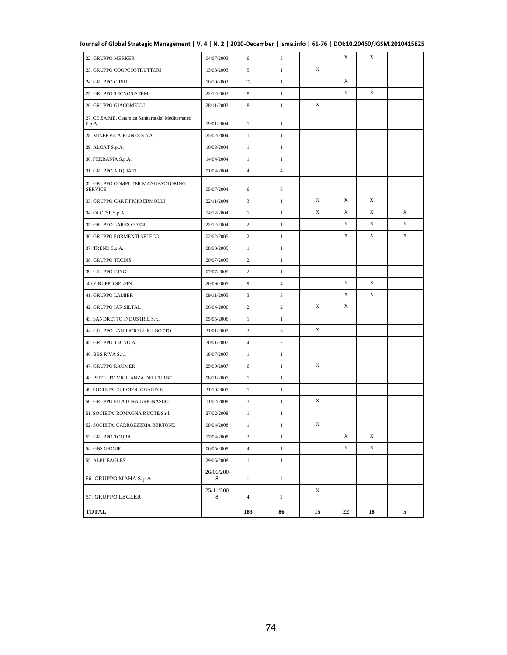| TOTAL                                                       |                | 183            | 86             | 15          | 22          | 18 | 5           |
|-------------------------------------------------------------|----------------|----------------|----------------|-------------|-------------|----|-------------|
| 57. GRUPPO LEGLER                                           | 25/11/200<br>8 | $\overline{4}$ | $\mathbf{1}$   | X           |             |    |             |
| 56. GRUPPO MAHA S.p.A                                       | 26/06/200<br>8 | $\mathbf{1}$   | $\mathbf{1}$   |             |             |    |             |
| 55. ALPI EAGLES                                             | 29/05/2008     | $\mathbf{1}$   | $\mathbf{1}$   |             |             |    |             |
| 54. GBS GROUP                                               | 06/05/2008     | $\overline{4}$ | $\mathbf{1}$   |             | X           | X  |             |
| 53. GRUPPO TOORA                                            | 17/04/2008     | $\overline{c}$ | $\mathbf{1}$   |             | X           | X  |             |
| 52. SOCIETA' CARROZZERIA BERTONE                            | 08/04/2008     | 1              | 1              | $\mathbf X$ |             |    |             |
| 51. SOCIETA' ROMAGNA RUOTE S.r.l.                           | 27/02/2008     | $\mathbf{1}$   | $\,1$          |             |             |    |             |
| 50. GRUPPO FILATURA GRIGNASCO                               | 11/02/2008     | 3              | $\mathbf{1}$   | X           |             |    |             |
| 49. SOCIETA' EUROPOL GUARDIE                                | 31/10/2007     | $\mathbf{1}$   | $\mathbf{1}$   |             |             |    |             |
| 48. ISTITUTO VIGILANZA DELL'URBE                            | 08/11/2007     | $\mathbf{1}$   | $\mathbf{1}$   |             |             |    |             |
| 47. GRUPPO RAUMER                                           | 25/09/2007     | 6              | $\mathbf{1}$   | X           |             |    |             |
| 46. BBS RIVA S.r.l.                                         | 18/07/2007     | $\mathbf{1}$   | $\mathbf{1}$   |             |             |    |             |
| 45. GRUPPO TECNO A.                                         | 30/01/2007     | $\overline{4}$ | $\overline{c}$ |             |             |    |             |
| 44. GRUPPO LANIFICIO LUIGI BOTTO                            | 31/01/2007     | 3              | 3              | X           |             |    |             |
| 43. SANDRETTO INDUSTRIE S.r.l.                              | 05/05/2006     | $\mathbf{1}$   | $\mathbf{1}$   |             |             |    |             |
| 42. GRUPPO IAR SILTAL                                       | 06/04/2006     | $\sqrt{2}$     | $\overline{c}$ | X           | X           |    |             |
| 41. GRUPPO LAMIER                                           | 09/11/2005     | 3              | 3              |             | X           | X  |             |
| 40. GRUPPO SELFIN                                           | 20/09/2005     | 9              | $\overline{4}$ |             | X           | X  |             |
| 39. GRUPPO F.D.G.                                           | 07/07/2005     | 2              | $\mathbf{1}$   |             |             |    |             |
| 38. GRUPPO TECDIS                                           | 20/07/2005     | $\sqrt{2}$     | $\mathbf{1}$   |             |             |    |             |
| 37. TREND S.p.A.                                            | 08/03/2005     | $\mathbf{1}$   | $\mathbf{1}$   |             |             |    |             |
| 36. GRUPPO FORMENTI SELECO                                  | 02/02/2005     | $\overline{c}$ | $\mathbf{1}$   |             | X           | X  | $\mathbf X$ |
| 35. GRUPPO LARES COZZI                                      | 22/12/2004     | 2              | $\mathbf{1}$   |             | X           | X  | X           |
| 34. OLCESE S.p.A                                            | 14/12/2004     | $\,1$          | $\mathbf{1}$   | X           | X           | X  | X           |
| 33. GRUPPO CARTIFICIO ERMOLLI                               | 22/11/2004     | 3              | $\mathbf{1}$   | $\mathbf X$ | $\mathbf X$ | X  |             |
| 32. GRUPPO COMPUTER MANUFACTORING<br><b>SERVICE</b>         | 05/07/2004     | 6              | 6              |             |             |    |             |
| 31. GRUPPO ARQUATI                                          | 01/04/2004     | $\overline{4}$ | $\overline{4}$ |             |             |    |             |
| 30. FERRANIA S.p.A.                                         | 14/04/2004     | $\mathbf{1}$   | $\mathbf{1}$   |             |             |    |             |
| 29. ALGAT S.p.A.                                            | 10/03/2004     | $\mathbf{1}$   | $\mathbf{1}$   |             |             |    |             |
| 28. MINERVA AIRLINES S.p.A.                                 | 25/02/2004     | $\mathbf{1}$   | $\mathbf{1}$   |             |             |    |             |
| 27. CE.SA.ME. Ceramica Sanitaria del Mediterraneo<br>S.p.A. | 19/01/2004     | $\mathbf{1}$   | $\mathbf{1}$   |             |             |    |             |
| 26. GRUPPO GIACOMELLI                                       | 28/11/2003     | 8              | $\mathbf{1}$   | X           |             |    |             |
| 25. GRUPPO TECNOSISTEMI                                     | 22/12/2003     | $\,$ 8 $\,$    | $\mathbf{1}$   |             | X           | X  |             |
| 24. GRUPPO CIRIO                                            | 10/10/2003     | 12             | $\mathbf{1}$   |             | $\mathbf X$ |    |             |
| 23. GRUPPO COOPCOSTRUTTORI                                  | 13/08/2003     | 5              | $\mathbf{1}$   | $\mathbf X$ |             |    |             |
| 22. GRUPPO MERKER                                           | 04/07/2003     | 6              | 3              |             | X           | X  |             |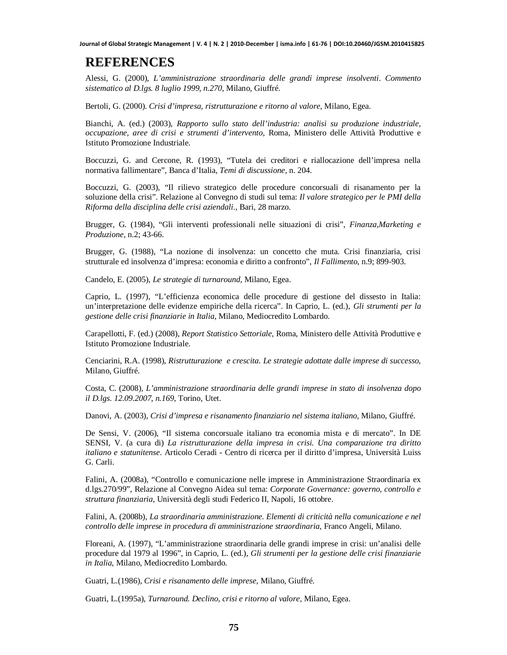#### **REFERENCES**

Alessi, G. (2000), *L'amministrazione straordinaria delle grandi imprese insolventi*. *Commento sistematico al D.lgs. 8 luglio 1999, n.270*, Milano, Giuffré.

Bertoli, G. (2000). *Crisi d'impresa, ristrutturazione e ritorno al valore*, Milano, Egea.

Bianchi, A. (ed.) (2003), *Rapporto sullo stato dell'industria: analisi su produzione industriale, occupazione, aree di crisi e strumenti d'intervento*, Roma, Ministero delle Attività Produttive e Istituto Promozione Industriale.

Boccuzzi, G. and Cercone, R. (1993), "Tutela dei creditori e riallocazione dell'impresa nella normativa fallimentare"*,* Banca d'Italia, *Temi di discussione*, n. 204.

Boccuzzi, G. (2003), "Il rilievo strategico delle procedure concorsuali di risanamento per la soluzione della crisi". Relazione al Convegno di studi sul tema: *Il valore strategico per le PMI della Riforma della disciplina delle crisi aziendali*., Bari, 28 marzo.

Brugger, G. (1984), "Gli interventi professionali nelle situazioni di crisi", *Finanza,Marketing e Produzione*, n.2; 43-66.

Brugger, G. (1988), "La nozione di insolvenza: un concetto che muta. Crisi finanziaria, crisi strutturale ed insolvenza d'impresa: economia e diritto a confronto", *Il Fallimento*, n.9; 899-903.

Candelo, E. (2005), *Le strategie di turnaround*, Milano, Egea.

Caprio, L. (1997), "L'efficienza economica delle procedure di gestione del dissesto in Italia: un'interpretazione delle evidenze empiriche della ricerca". In Caprio, L. (ed.), *Gli strumenti per la gestione delle crisi finanziarie in Italia*, Milano, Mediocredito Lombardo.

Carapellotti, F. (ed.) (2008), *Report Statistico Settoriale,* Roma, Ministero delle Attività Produttive e Istituto Promozione Industriale.

Cenciarini, R.A. (1998), *Ristrutturazione e crescita. Le strategie adottate dalle imprese di successo,* Milano, Giuffré.

Costa, C. (2008), *L'amministrazione straordinaria delle grandi imprese in stato di insolvenza dopo il D.lgs. 12.09.2007*, *n.169*, Torino, Utet.

Danovi, A. (2003), *Crisi d'impresa e risanamento finanziario nel sistema italiano,* Milano, Giuffré.

De Sensi, V. (2006), "Il sistema concorsuale italiano tra economia mista e di mercato". In DE SENSI, V. (a cura di) *La ristrutturazione della impresa in crisi. Una comparazione tra diritto italiano e statunitense*. Articolo Ceradi - Centro di ricerca per il diritto d'impresa, Università Luiss G. Carli.

Falini, A. (2008a), "Controllo e comunicazione nelle imprese in Amministrazione Straordinaria ex d.lgs.270/99", Relazione al Convegno Aidea sul tema: *Corporate Governance: governo, controllo e struttura finanziaria*, Università degli studi Federico II, Napoli, 16 ottobre.

Falini, A. (2008b), *La straordinaria amministrazione. Elementi di criticità nella comunicazione e nel controllo delle imprese in procedura di amministrazione straordinaria*, Franco Angeli, Milano.

Floreani, A. (1997), "L'amministrazione straordinaria delle grandi imprese in crisi: un'analisi delle procedure dal 1979 al 1996", in Caprio, L. (ed.), *Gli strumenti per la gestione delle crisi finanziarie in Italia*, Milano, Mediocredito Lombardo.

Guatri, L.(1986), *Crisi e risanamento delle imprese*, Milano, Giuffré.

Guatri, L.(1995a), *Turnaround. Declino, crisi e ritorno al valore*, Milano, Egea.